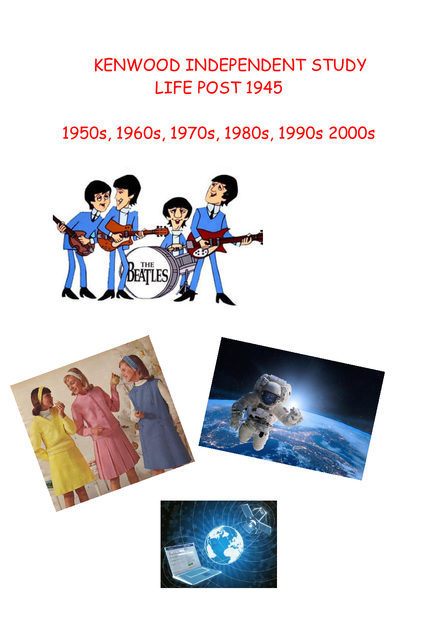# KENWOOD INDEPENDENT STUDY LIFE POST 1945

## 1950s, 1960s, 1970s, 1980s, 1990s 2000s





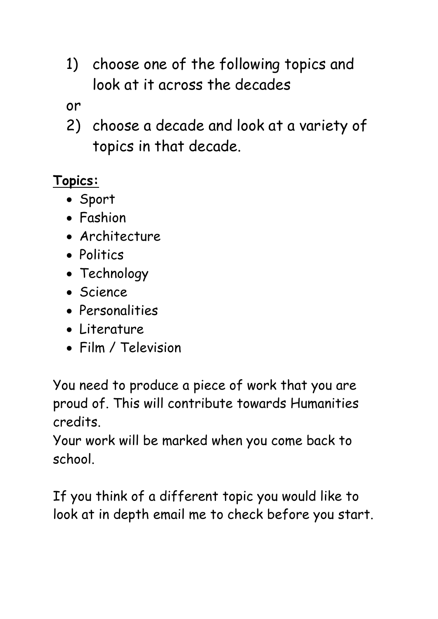1) choose one of the following topics and look at it across the decades

or

2) choose a decade and look at a variety of topics in that decade.

#### **Topics:**

- Sport
- Fashion
- Architecture
- Politics
- Technology
- Science
- Personalities
- Literature
- Film / Television

You need to produce a piece of work that you are proud of. This will contribute towards Humanities credits.

Your work will be marked when you come back to school.

If you think of a different topic you would like to look at in depth email me to check before you start.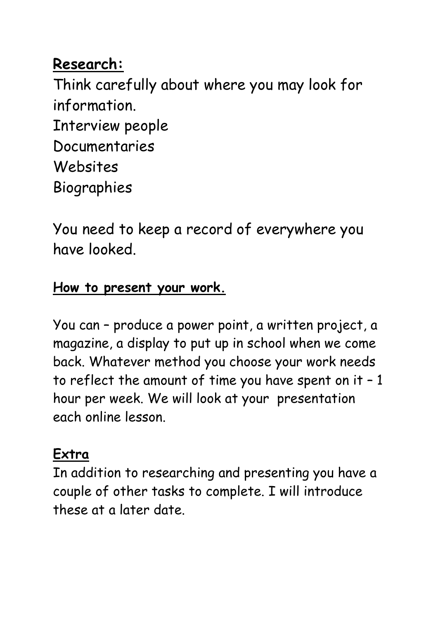## **Research:**

Think carefully about where you may look for information. Interview people Documentaries Websites Biographies

You need to keep a record of everywhere you have looked.

#### **How to present your work.**

You can – produce a power point, a written project, a magazine, a display to put up in school when we come back. Whatever method you choose your work needs to reflect the amount of time you have spent on it – 1 hour per week. We will look at your presentation each online lesson.

### **Extra**

In addition to researching and presenting you have a couple of other tasks to complete. I will introduce these at a later date.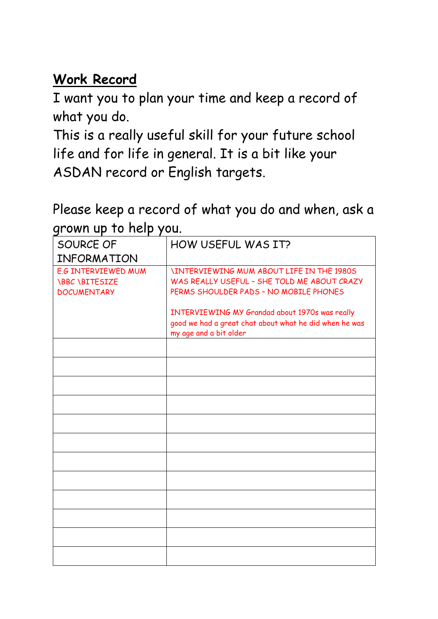#### **Work Record**

I want you to plan your time and keep a record of what you do.

This is a really useful skill for your future school life and for life in general. It is a bit like your ASDAN record or English targets.

Please keep a record of what you do and when, ask a grown up to help you.

| SOURCE OF                                                                 | HOW USEFUL WAS IT?                                                                                                                       |
|---------------------------------------------------------------------------|------------------------------------------------------------------------------------------------------------------------------------------|
| INFORMATION                                                               |                                                                                                                                          |
| <b>E.G INTERVIEWED MUM</b><br><b>\BBC \BITESIZE</b><br><b>DOCUMENTARY</b> | <b>INTERVIEWING MUM ABOUT LIFE IN THE 1980S</b><br>WAS REALLY USEFUL - SHE TOLD ME ABOUT CRAZY<br>PERMS SHOULDER PADS - NO MOBILE PHONES |
|                                                                           | INTERVIEWING MY Grandad about 1970s was really<br>good we had a great chat about what he did when he was<br>my age and a bit older       |
|                                                                           |                                                                                                                                          |
|                                                                           |                                                                                                                                          |
|                                                                           |                                                                                                                                          |
|                                                                           |                                                                                                                                          |
|                                                                           |                                                                                                                                          |
|                                                                           |                                                                                                                                          |
|                                                                           |                                                                                                                                          |
|                                                                           |                                                                                                                                          |
|                                                                           |                                                                                                                                          |
|                                                                           |                                                                                                                                          |
|                                                                           |                                                                                                                                          |
|                                                                           |                                                                                                                                          |